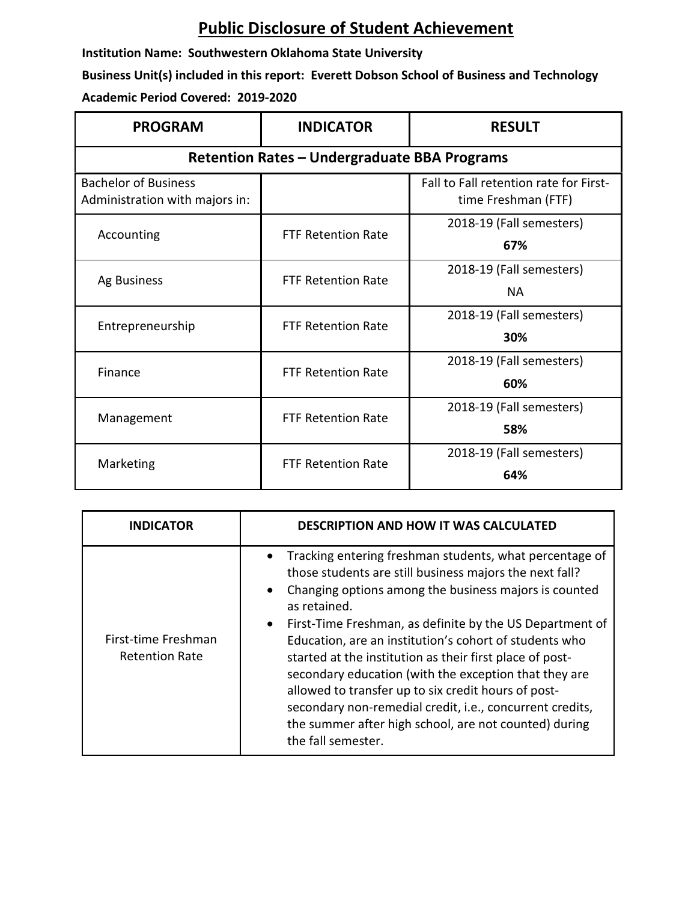## **Public Disclosure of Student Achievement**

**Institution Name: Southwestern Oklahoma State University**

**Business Unit(s) included in this report: Everett Dobson School of Business and Technology Academic Period Covered: 2019-2020**

| <b>PROGRAM</b>                                                | <b>INDICATOR</b>          | <b>RESULT</b>                                                 |  |  |
|---------------------------------------------------------------|---------------------------|---------------------------------------------------------------|--|--|
| <b>Retention Rates - Undergraduate BBA Programs</b>           |                           |                                                               |  |  |
| <b>Bachelor of Business</b><br>Administration with majors in: |                           | Fall to Fall retention rate for First-<br>time Freshman (FTF) |  |  |
| Accounting                                                    | <b>FTF Retention Rate</b> | 2018-19 (Fall semesters)<br>67%                               |  |  |
| Ag Business                                                   | <b>FTF Retention Rate</b> | 2018-19 (Fall semesters)<br><b>NA</b>                         |  |  |
| Entrepreneurship                                              | <b>FTF Retention Rate</b> | 2018-19 (Fall semesters)<br>30%                               |  |  |
| Finance                                                       | <b>FTF Retention Rate</b> | 2018-19 (Fall semesters)<br>60%                               |  |  |
| Management                                                    | <b>FTF Retention Rate</b> | 2018-19 (Fall semesters)<br>58%                               |  |  |
| Marketing                                                     | <b>FTF Retention Rate</b> | 2018-19 (Fall semesters)<br>64%                               |  |  |

| <b>INDICATOR</b>                             | <b>DESCRIPTION AND HOW IT WAS CALCULATED</b>                                                                                                                                                                                                                                                                                                                                                                                                                                                                                                                                                                                                                       |  |
|----------------------------------------------|--------------------------------------------------------------------------------------------------------------------------------------------------------------------------------------------------------------------------------------------------------------------------------------------------------------------------------------------------------------------------------------------------------------------------------------------------------------------------------------------------------------------------------------------------------------------------------------------------------------------------------------------------------------------|--|
| First-time Freshman<br><b>Retention Rate</b> | Tracking entering freshman students, what percentage of<br>those students are still business majors the next fall?<br>Changing options among the business majors is counted<br>$\bullet$<br>as retained.<br>First-Time Freshman, as definite by the US Department of<br>$\bullet$<br>Education, are an institution's cohort of students who<br>started at the institution as their first place of post-<br>secondary education (with the exception that they are<br>allowed to transfer up to six credit hours of post-<br>secondary non-remedial credit, i.e., concurrent credits,<br>the summer after high school, are not counted) during<br>the fall semester. |  |